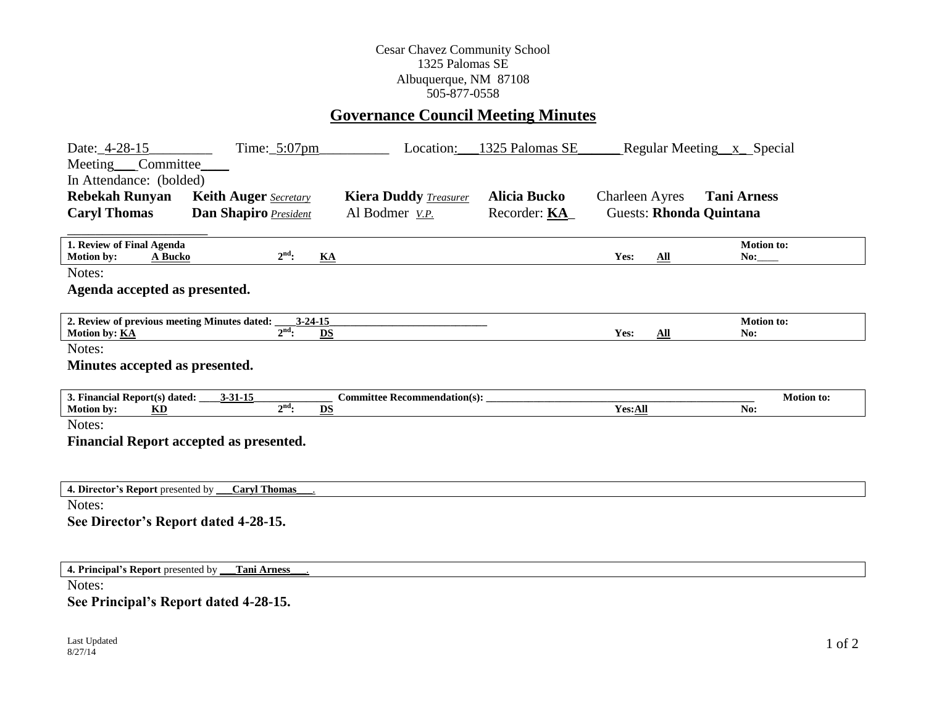## Cesar Chavez Community School 1325 Palomas SE Albuquerque, NM 87108 505-877-0558

## **Governance Council Meeting Minutes**

| Date: 4-28-15                                                                                                                                                                                                                                                                                                                                | Time: $5:07$ pm                                | Location:                           | 1325 Palomas SE      | Regular Meeting x Special      |                          |
|----------------------------------------------------------------------------------------------------------------------------------------------------------------------------------------------------------------------------------------------------------------------------------------------------------------------------------------------|------------------------------------------------|-------------------------------------|----------------------|--------------------------------|--------------------------|
| Meeting <sub>____</sub> Committee_                                                                                                                                                                                                                                                                                                           |                                                |                                     |                      |                                |                          |
| In Attendance: (bolded)                                                                                                                                                                                                                                                                                                                      |                                                |                                     |                      |                                |                          |
| <b>Rebekah Runyan</b>                                                                                                                                                                                                                                                                                                                        | <b>Keith Auger</b> Secretary                   | <b>Kiera Duddy Treasurer</b>        | <b>Alicia Bucko</b>  | <b>Charleen Ayres</b>          | <b>Tani Arness</b>       |
| <b>Caryl Thomas</b>                                                                                                                                                                                                                                                                                                                          | Dan Shapiro President                          | Al Bodmer <i>v.P.</i>               | Recorder: <b>KA_</b> | <b>Guests: Rhonda Quintana</b> |                          |
|                                                                                                                                                                                                                                                                                                                                              |                                                |                                     |                      |                                |                          |
| 1. Review of Final Agenda                                                                                                                                                                                                                                                                                                                    |                                                |                                     |                      |                                | Motion to:               |
| Motion by:<br>A Bucko                                                                                                                                                                                                                                                                                                                        | $2nd$ :                                        | KA                                  |                      | $\Delta$ ll<br>Yes:            | No:                      |
| Notes:                                                                                                                                                                                                                                                                                                                                       |                                                |                                     |                      |                                |                          |
| Agenda accepted as presented.                                                                                                                                                                                                                                                                                                                |                                                |                                     |                      |                                |                          |
|                                                                                                                                                                                                                                                                                                                                              |                                                |                                     |                      |                                |                          |
| 2. Review of previous meeting Minutes dated:<br>Motion by: <b>KA</b>                                                                                                                                                                                                                                                                         | $3 - 24 - 15$<br>$2nd$ :                       | DS                                  |                      | Yes:<br>$\Delta$ ll            | <b>Motion to:</b><br>No: |
| Notes:                                                                                                                                                                                                                                                                                                                                       |                                                |                                     |                      |                                |                          |
| Minutes accepted as presented.                                                                                                                                                                                                                                                                                                               |                                                |                                     |                      |                                |                          |
|                                                                                                                                                                                                                                                                                                                                              |                                                |                                     |                      |                                |                          |
| 3. Financial Report(s) dated:                                                                                                                                                                                                                                                                                                                | $3 - 31 - 15$                                  | <b>Committee Recommendation(s):</b> |                      |                                | Motion to:               |
| Motion by:<br>KD                                                                                                                                                                                                                                                                                                                             | $2nd$ :                                        | <b>DS</b>                           |                      | Yes:All                        | No:                      |
| Notes:                                                                                                                                                                                                                                                                                                                                       |                                                |                                     |                      |                                |                          |
|                                                                                                                                                                                                                                                                                                                                              | <b>Financial Report accepted as presented.</b> |                                     |                      |                                |                          |
|                                                                                                                                                                                                                                                                                                                                              |                                                |                                     |                      |                                |                          |
|                                                                                                                                                                                                                                                                                                                                              |                                                |                                     |                      |                                |                          |
| 4. Director's Report presented by __                                                                                                                                                                                                                                                                                                         | <b>Caryl Thomas</b>                            |                                     |                      |                                |                          |
| Notes:                                                                                                                                                                                                                                                                                                                                       |                                                |                                     |                      |                                |                          |
| See Director's Report dated 4-28-15.                                                                                                                                                                                                                                                                                                         |                                                |                                     |                      |                                |                          |
|                                                                                                                                                                                                                                                                                                                                              |                                                |                                     |                      |                                |                          |
|                                                                                                                                                                                                                                                                                                                                              |                                                |                                     |                      |                                |                          |
| 4. Principal's Report presented by _                                                                                                                                                                                                                                                                                                         | <b>Tani Arness</b>                             |                                     |                      |                                |                          |
| Notes:<br>$\mathbf{R}$ $\mathbf{R}$ $\mathbf{R}$ $\mathbf{R}$ $\mathbf{R}$ $\mathbf{R}$ $\mathbf{R}$ $\mathbf{R}$ $\mathbf{R}$ $\mathbf{R}$ $\mathbf{R}$ $\mathbf{R}$ $\mathbf{R}$ $\mathbf{R}$ $\mathbf{R}$ $\mathbf{R}$ $\mathbf{R}$ $\mathbf{R}$ $\mathbf{R}$ $\mathbf{R}$ $\mathbf{R}$ $\mathbf{R}$ $\mathbf{R}$ $\mathbf{R}$ $\mathbf{$ |                                                |                                     |                      |                                |                          |

**See Principal's Report dated 4-28-15.**